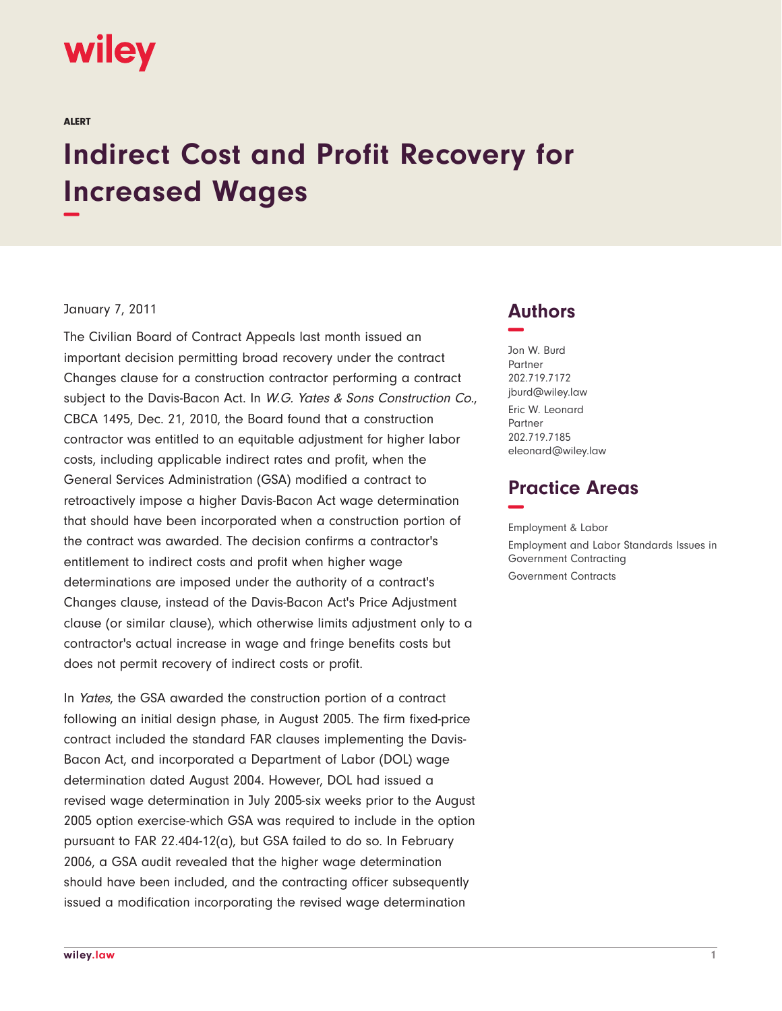# wiley

ALERT

# **Indirect Cost and Profit Recovery for Increased Wages −**

#### January 7, 2011

The Civilian Board of Contract Appeals last month issued an important decision permitting broad recovery under the contract Changes clause for a construction contractor performing a contract subject to the Davis-Bacon Act. In W.G. Yates & Sons Construction Co., CBCA 1495, Dec. 21, 2010, the Board found that a construction contractor was entitled to an equitable adjustment for higher labor costs, including applicable indirect rates and profit, when the General Services Administration (GSA) modified a contract to retroactively impose a higher Davis-Bacon Act wage determination that should have been incorporated when a construction portion of the contract was awarded. The decision confirms a contractor's entitlement to indirect costs and profit when higher wage determinations are imposed under the authority of a contract's Changes clause, instead of the Davis-Bacon Act's Price Adjustment clause (or similar clause), which otherwise limits adjustment only to a contractor's actual increase in wage and fringe benefits costs but does not permit recovery of indirect costs or profit.

In Yates, the GSA awarded the construction portion of a contract following an initial design phase, in August 2005. The firm fixed-price contract included the standard FAR clauses implementing the Davis-Bacon Act, and incorporated a Department of Labor (DOL) wage determination dated August 2004. However, DOL had issued a revised wage determination in July 2005-six weeks prior to the August 2005 option exercise-which GSA was required to include in the option pursuant to FAR 22.404-12(a), but GSA failed to do so. In February 2006, a GSA audit revealed that the higher wage determination should have been included, and the contracting officer subsequently issued a modification incorporating the revised wage determination

### **Authors −**

Jon W. Burd Partner 202.719.7172 jburd@wiley.law Eric W. Leonard **Partner** 202.719.7185 eleonard@wiley.law

## **Practice Areas −**

Employment & Labor Employment and Labor Standards Issues in Government Contracting Government Contracts